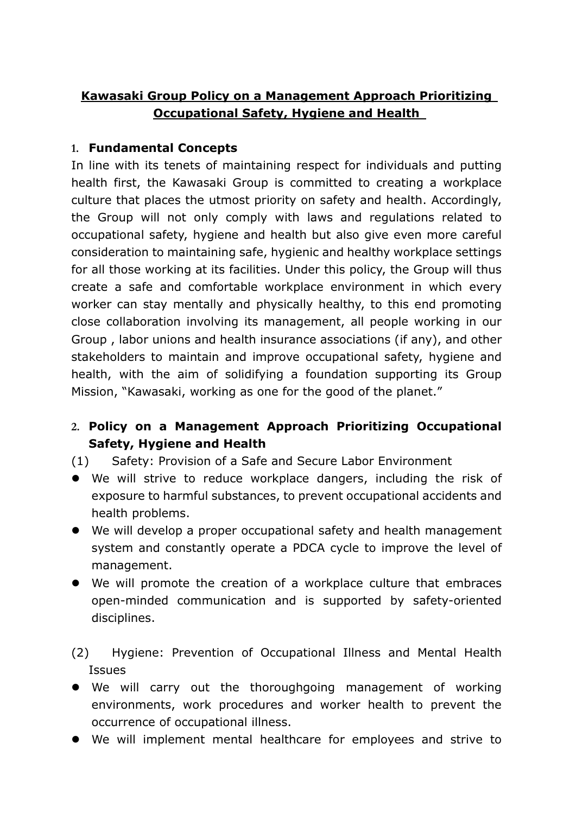## **Kawasaki Group Policy on a Management Approach Prioritizing Occupational Safety, Hygiene and Health**

## **1. Fundamental Concepts**

In line with its tenets of maintaining respect for individuals and putting health first, the Kawasaki Group is committed to creating a workplace culture that places the utmost priority on safety and health. Accordingly, the Group will not only comply with laws and regulations related to occupational safety, hygiene and health but also give even more careful consideration to maintaining safe, hygienic and healthy workplace settings for all those working at its facilities. Under this policy, the Group will thus create a safe and comfortable workplace environment in which every worker can stay mentally and physically healthy, to this end promoting close collaboration involving its management, all people working in our Group , labor unions and health insurance associations (if any), and other stakeholders to maintain and improve occupational safety, hygiene and health, with the aim of solidifying a foundation supporting its Group Mission, "Kawasaki, working as one for the good of the planet."

## **2. Policy on a Management Approach Prioritizing Occupational Safety, Hygiene and Health**

(1) Safety: Provision of a Safe and Secure Labor Environment

- We will strive to reduce workplace dangers, including the risk of exposure to harmful substances, to prevent occupational accidents and health problems.
- We will develop a proper occupational safety and health management system and constantly operate a PDCA cycle to improve the level of management.
- We will promote the creation of a workplace culture that embraces open-minded communication and is supported by safety-oriented disciplines.
- (2) Hygiene: Prevention of Occupational Illness and Mental Health Issues
- We will carry out the thoroughgoing management of working environments, work procedures and worker health to prevent the occurrence of occupational illness.
- We will implement mental healthcare for employees and strive to